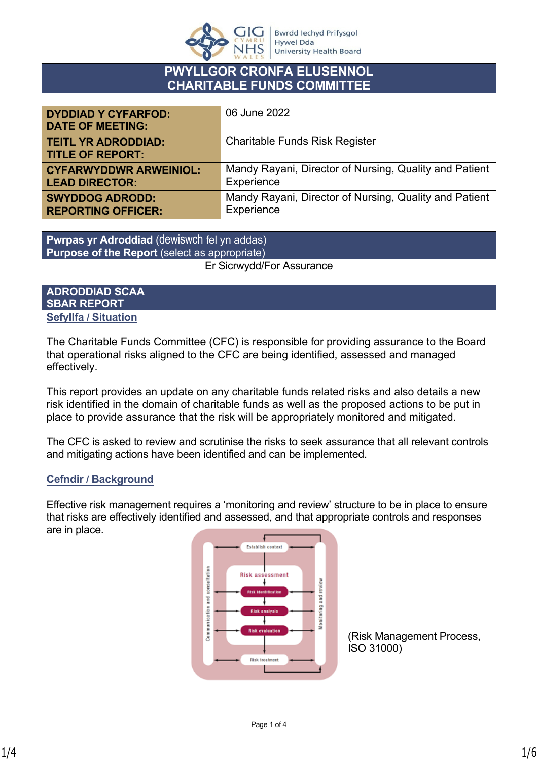

# **PWYLLGOR CRONFA ELUSENNOL CHARITABLE FUNDS COMMITTEE**

| <b>DYDDIAD Y CYFARFOD:</b><br><b>DATE OF MEETING:</b> | 06 June 2022                                           |
|-------------------------------------------------------|--------------------------------------------------------|
| <b>TEITL YR ADRODDIAD:</b><br><b>TITLE OF REPORT:</b> | <b>Charitable Funds Risk Register</b>                  |
| <b>CYFARWYDDWR ARWEINIOL:</b>                         | Mandy Rayani, Director of Nursing, Quality and Patient |
| <b>LEAD DIRECTOR:</b>                                 | Experience                                             |
| <b>SWYDDOG ADRODD:</b>                                | Mandy Rayani, Director of Nursing, Quality and Patient |
| <b>REPORTING OFFICER:</b>                             | Experience                                             |

**Pwrpas yr Adroddiad** (dewiswch fel yn addas) **Purpose of the Report** (select as appropriate) Er Sicrwydd/For Assurance

### **ADRODDIAD SCAA SBAR REPORT Sefyllfa / Situation**

The Charitable Funds Committee (CFC) is responsible for providing assurance to the Board that operational risks aligned to the CFC are being identified, assessed and managed effectively.

This report provides an update on any charitable funds related risks and also details a new risk identified in the domain of charitable funds as well as the proposed actions to be put in place to provide assurance that the risk will be appropriately monitored and mitigated.

The CFC is asked to review and scrutinise the risks to seek assurance that all relevant controls and mitigating actions have been identified and can be implemented.

# **Cefndir / Background**

Effective risk management requires a 'monitoring and review' structure to be in place to ensure that risks are effectively identified and assessed, and that appropriate controls and responses are in place.

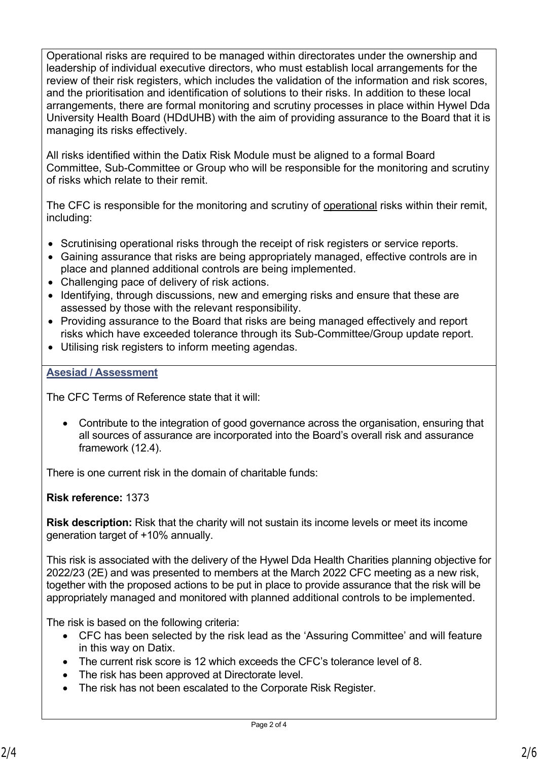Operational risks are required to be managed within directorates under the ownership and leadership of individual executive directors, who must establish local arrangements for the review of their risk registers, which includes the validation of the information and risk scores, and the prioritisation and identification of solutions to their risks. In addition to these local arrangements, there are formal monitoring and scrutiny processes in place within Hywel Dda University Health Board (HDdUHB) with the aim of providing assurance to the Board that it is managing its risks effectively.

All risks identified within the Datix Risk Module must be aligned to a formal Board Committee, Sub-Committee or Group who will be responsible for the monitoring and scrutiny of risks which relate to their remit.

The CFC is responsible for the monitoring and scrutiny of operational risks within their remit, including:

- Scrutinising operational risks through the receipt of risk registers or service reports.
- Gaining assurance that risks are being appropriately managed, effective controls are in place and planned additional controls are being implemented.
- Challenging pace of delivery of risk actions.
- Identifying, through discussions, new and emerging risks and ensure that these are assessed by those with the relevant responsibility.
- Providing assurance to the Board that risks are being managed effectively and report risks which have exceeded tolerance through its Sub-Committee/Group update report.
- Utilising risk registers to inform meeting agendas.

### **Asesiad / Assessment**

The CFC Terms of Reference state that it will:

• Contribute to the integration of good governance across the organisation, ensuring that all sources of assurance are incorporated into the Board's overall risk and assurance framework (12.4).

There is one current risk in the domain of charitable funds:

**Risk reference:** 1373

**Risk description:** Risk that the charity will not sustain its income levels or meet its income generation target of +10% annually.

This risk is associated with the delivery of the Hywel Dda Health Charities planning objective for 2022/23 (2E) and was presented to members at the March 2022 CFC meeting as a new risk, together with the proposed actions to be put in place to provide assurance that the risk will be appropriately managed and monitored with planned additional controls to be implemented.

The risk is based on the following criteria:

- CFC has been selected by the risk lead as the 'Assuring Committee' and will feature in this way on Datix.
- The current risk score is 12 which exceeds the CFC's tolerance level of 8.
- The risk has been approved at Directorate level.
- The risk has not been escalated to the Corporate Risk Register.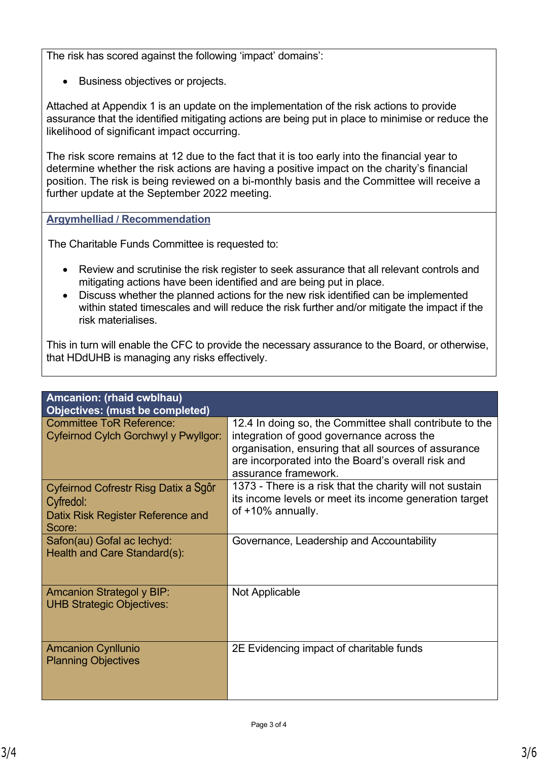The risk has scored against the following 'impact' domains':

• Business objectives or projects.

Attached at Appendix 1 is an update on the implementation of the risk actions to provide assurance that the identified mitigating actions are being put in place to minimise or reduce the likelihood of significant impact occurring.

The risk score remains at 12 due to the fact that it is too early into the financial year to determine whether the risk actions are having a positive impact on the charity's financial position. The risk is being reviewed on a bi-monthly basis and the Committee will receive a further update at the September 2022 meeting.

# **Argymhelliad / Recommendation**

The Charitable Funds Committee is requested to:

- Review and scrutinise the risk register to seek assurance that all relevant controls and mitigating actions have been identified and are being put in place.
- Discuss whether the planned actions for the new risk identified can be implemented within stated timescales and will reduce the risk further and/or mitigate the impact if the risk materialises.

This in turn will enable the CFC to provide the necessary assurance to the Board, or otherwise, that HDdUHB is managing any risks effectively.

| Amcanion: (rhaid cwblhau)<br><b>Objectives: (must be completed)</b>                              |                                                                                                                                                                                                                                            |
|--------------------------------------------------------------------------------------------------|--------------------------------------------------------------------------------------------------------------------------------------------------------------------------------------------------------------------------------------------|
| <b>Committee ToR Reference:</b><br>Cyfeirnod Cylch Gorchwyl y Pwyllgor:                          | 12.4 In doing so, the Committee shall contribute to the<br>integration of good governance across the<br>organisation, ensuring that all sources of assurance<br>are incorporated into the Board's overall risk and<br>assurance framework. |
| Cyfeirnod Cofrestr Risg Datix a Sgôr<br>Cyfredol:<br>Datix Risk Register Reference and<br>Score: | 1373 - There is a risk that the charity will not sustain<br>its income levels or meet its income generation target<br>of +10% annually.                                                                                                    |
| Safon(au) Gofal ac lechyd:<br>Health and Care Standard(s):                                       | Governance, Leadership and Accountability                                                                                                                                                                                                  |
| <b>Amcanion Strategol y BIP:</b><br><b>UHB Strategic Objectives:</b>                             | Not Applicable                                                                                                                                                                                                                             |
| <b>Amcanion Cynllunio</b><br><b>Planning Objectives</b>                                          | 2E Evidencing impact of charitable funds                                                                                                                                                                                                   |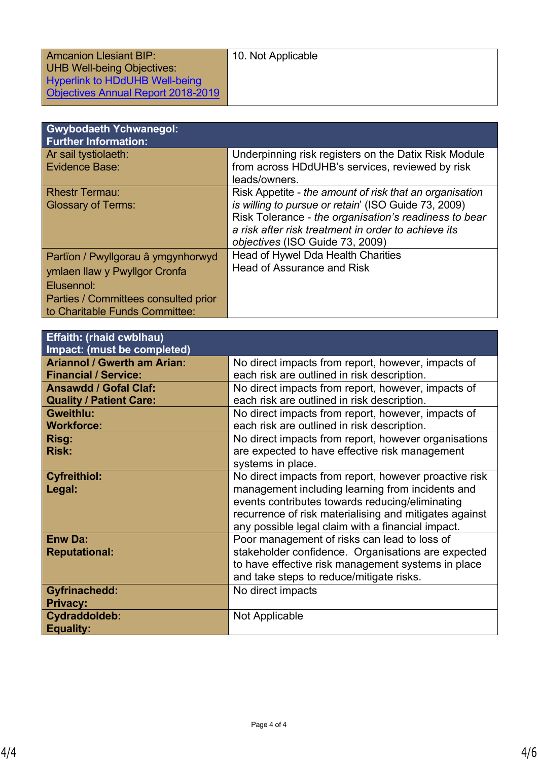| Amcanion Llesiant BIP:                    | 10. Not Applicable |
|-------------------------------------------|--------------------|
| UHB Well-being Objectives:                |                    |
| <b>Hyperlink to HDdUHB Well-being</b>     |                    |
| <b>Objectives Annual Report 2018-2019</b> |                    |
|                                           |                    |
|                                           |                    |
| I Currhodaeth Vohwanegol:                 |                    |

| <b>UWYNUUACIII I UIIWAIICYUI.</b><br><b>Further Information:</b> |                                                         |
|------------------------------------------------------------------|---------------------------------------------------------|
| Ar sail tystiolaeth:                                             | Underpinning risk registers on the Datix Risk Module    |
| <b>Evidence Base:</b>                                            | from across HDdUHB's services, reviewed by risk         |
|                                                                  | leads/owners.                                           |
| <b>Rhestr Termau:</b>                                            | Risk Appetite - the amount of risk that an organisation |
| <b>Glossary of Terms:</b>                                        | is willing to pursue or retain' (ISO Guide 73, 2009)    |
|                                                                  | Risk Tolerance - the organisation's readiness to bear   |
|                                                                  | a risk after risk treatment in order to achieve its     |
|                                                                  | objectives (ISO Guide 73, 2009)                         |
| Partïon / Pwyllgorau â ymgynhorwyd                               | Head of Hywel Dda Health Charities                      |
| ymlaen llaw y Pwyllgor Cronfa                                    | <b>Head of Assurance and Risk</b>                       |
| Elusennol:                                                       |                                                         |
| Parties / Committees consulted prior                             |                                                         |
| to Charitable Funds Committee:                                   |                                                         |

| <b>Effaith: (rhaid cwblhau)</b><br><b>Impact: (must be completed)</b>                                                                                                                 |                                                                                                                                                                                                                                                                                                                                                                     |
|---------------------------------------------------------------------------------------------------------------------------------------------------------------------------------------|---------------------------------------------------------------------------------------------------------------------------------------------------------------------------------------------------------------------------------------------------------------------------------------------------------------------------------------------------------------------|
| <b>Ariannol / Gwerth am Arian:</b><br><b>Financial / Service:</b><br><b>Ansawdd / Gofal Claf:</b><br><b>Quality / Patient Care:</b><br><b>Gweithlu:</b><br><b>Workforce:</b><br>Risg: | No direct impacts from report, however, impacts of<br>each risk are outlined in risk description.<br>No direct impacts from report, however, impacts of<br>each risk are outlined in risk description.<br>No direct impacts from report, however, impacts of<br>each risk are outlined in risk description.<br>No direct impacts from report, however organisations |
| <b>Risk:</b>                                                                                                                                                                          | are expected to have effective risk management<br>systems in place.                                                                                                                                                                                                                                                                                                 |
| <b>Cyfreithiol:</b><br>Legal:                                                                                                                                                         | No direct impacts from report, however proactive risk<br>management including learning from incidents and<br>events contributes towards reducing/eliminating<br>recurrence of risk materialising and mitigates against<br>any possible legal claim with a financial impact.                                                                                         |
| <b>Enw Da:</b><br><b>Reputational:</b>                                                                                                                                                | Poor management of risks can lead to loss of<br>stakeholder confidence. Organisations are expected<br>to have effective risk management systems in place<br>and take steps to reduce/mitigate risks.                                                                                                                                                                |
| <b>Gyfrinachedd:</b><br><b>Privacy:</b>                                                                                                                                               | No direct impacts                                                                                                                                                                                                                                                                                                                                                   |
| Cydraddoldeb:<br><b>Equality:</b>                                                                                                                                                     | Not Applicable                                                                                                                                                                                                                                                                                                                                                      |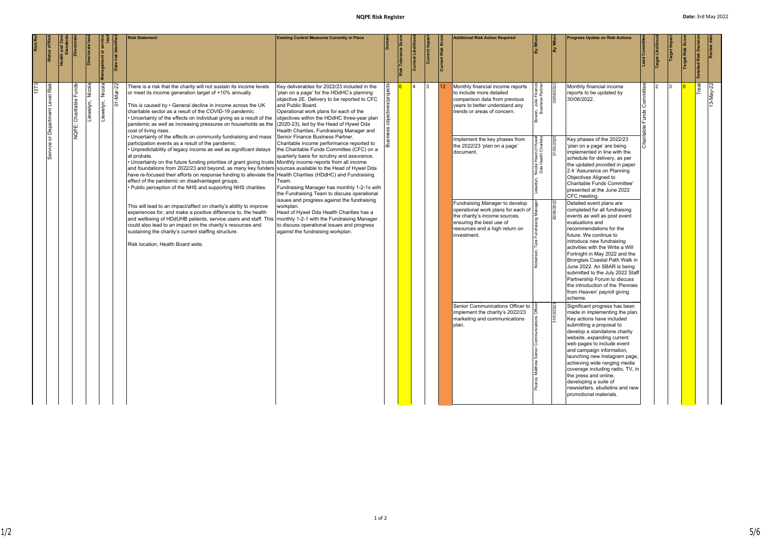|   | Status of Ris                 | Directora              | <b>Directorate</b>  | $\frac{1}{2}$            | risk Identif<br>Date | <b>Risk Statement</b>                                                                                                                                                                                                                                                                                                                                                                                                                                                                                                                                                                                                                                                                                                                                                                                                                                                                                                                                                                                                                                                                                                                                                                                                                                                                                                                                                              | <b>Existing Control Measures Currently in Place</b>                                                                                                                                                                                                                                                                                                                                                                                                                                                                                                                                                                                                                                                                                                                                                                                                                                                                                                                    |                     | Risk | Current Likeliho |               | Current Risk Score | <b>Additional Risk Action Required</b>                                                                                                                                                                                                                                                                                                                                                                                                                                                                                                             | By Whon                                                                   | $\frac{1}{\sqrt{2}}$ | <b>Progress Update on Risk Actions</b>                                                                                                                                                                                                                                                                                                                                                                                                                                                                                                                                                                                                                                                                                                                                                                                                                                                                                                                                                                                                                                                                                                                                                                                                                                                                                                   |                                  | Target Likelih | Target Impa | Target Risk | illed Risk Decisio |
|---|-------------------------------|------------------------|---------------------|--------------------------|----------------------|------------------------------------------------------------------------------------------------------------------------------------------------------------------------------------------------------------------------------------------------------------------------------------------------------------------------------------------------------------------------------------------------------------------------------------------------------------------------------------------------------------------------------------------------------------------------------------------------------------------------------------------------------------------------------------------------------------------------------------------------------------------------------------------------------------------------------------------------------------------------------------------------------------------------------------------------------------------------------------------------------------------------------------------------------------------------------------------------------------------------------------------------------------------------------------------------------------------------------------------------------------------------------------------------------------------------------------------------------------------------------------|------------------------------------------------------------------------------------------------------------------------------------------------------------------------------------------------------------------------------------------------------------------------------------------------------------------------------------------------------------------------------------------------------------------------------------------------------------------------------------------------------------------------------------------------------------------------------------------------------------------------------------------------------------------------------------------------------------------------------------------------------------------------------------------------------------------------------------------------------------------------------------------------------------------------------------------------------------------------|---------------------|------|------------------|---------------|--------------------|----------------------------------------------------------------------------------------------------------------------------------------------------------------------------------------------------------------------------------------------------------------------------------------------------------------------------------------------------------------------------------------------------------------------------------------------------------------------------------------------------------------------------------------------------|---------------------------------------------------------------------------|----------------------|------------------------------------------------------------------------------------------------------------------------------------------------------------------------------------------------------------------------------------------------------------------------------------------------------------------------------------------------------------------------------------------------------------------------------------------------------------------------------------------------------------------------------------------------------------------------------------------------------------------------------------------------------------------------------------------------------------------------------------------------------------------------------------------------------------------------------------------------------------------------------------------------------------------------------------------------------------------------------------------------------------------------------------------------------------------------------------------------------------------------------------------------------------------------------------------------------------------------------------------------------------------------------------------------------------------------------------------|----------------------------------|----------------|-------------|-------------|--------------------|
| ო | Risk<br>Level<br>ិ<br>Service | NQPE: Charitable Funds | Nicola<br>Llewelyn, | <b>Nico</b><br>Llewelyn, | 01-Mar               | There is a risk that the charity will not sustain its income levels<br>or meet its income generation target of +10% annually.<br>This is caused by $\cdot$ General decline in income across the UK<br>charitable sector as a result of the COVID-19 pandemic.<br>Uncertainty of the effects on individual giving as a result of the<br>pandemic as well as increasing pressures on households as the<br>cost of living rises.<br>Uncertainty of the effects on community fundraising and mass<br>participation events as a result of the pandemic.<br>Unpredictability of legacy income as well as significant delays<br>at probate.<br>Uncertainty on the future funding priorities of grant giving trusts Monthly income reports from all income<br>and foundations from 2022/23 and beyond, as many key funders<br>have re-focused their efforts on response funding to alleviate the<br>effect of the pandemic on disadvantaged groups.<br>• Public perception of the NHS and supporting NHS charities.<br>This will lead to an impact/affect on charity's ability to improve<br>experiences for, and make a positive difference to, the health<br>and wellbeing of HDdUHB patients, service users and staff. This<br>could also lead to an impact on the charity's resources and<br>sustaining the charity's current staffing structure.<br>Risk location, Health Board wide. | Key deliverables for 2022/23 included in the<br>'plan on a page' for the HDdHC's planning<br>objective 2E. Delivery to be reported to CFC<br>and Public Board.<br>Operational work plans for each of the<br>objectives within the HDdHC three-year plan<br>(2020-23), led by the Head of Hywel Dda<br>Health Charities, Fundraising Manager and<br>Senior Finance Business Partner.<br>Charitable income performance reported to<br>the Charitable Funds Committee (CFC) on a<br>quarterly basis for scrutiny and assurance.<br>sources available to the Head of Hywel Dda<br>Health Charities (HDdHC) and Fundraising<br>Team.<br>Fundraising Manager has monthly 1-2-1s with<br>the Fundraising Team to discuss operational<br>issues and progress against the fundraising<br>workplan.<br>Head of Hywel Dda Health Charities has a<br>monthly 1-2-1 with the Fundraising Manager<br>to discuss operational issues and progress<br>against the fundraising workplan. | objectives/projects |      | 4                | $\mathcal{R}$ | 12                 | Monthly financial income reports<br>to include more detailed<br>comparison data from previous<br>years to better understand any<br>trends or areas of concern.<br>Implement the key phases from<br>the 2022/23 'plan on a page'<br>document.<br>Fundraising Manager to develop<br>operational work plans for each of<br>the charity's income sources,<br>ensuring the best use of<br>resources and a high return on<br>investment.<br>Senior Communications Officer to<br>implement the charity's 2022/23<br>marketing and communications<br>plan. | Partner<br>ှိ အိ<br>≶. ≅<br>₹ã<br>Hywel<br>narities<br><u>ర్</u> ర<br>요 준 |                      | Monthly financial income<br>reports to be updated by<br>30/06/2022.<br>Key phases of the 2022/23<br>'plan on a page' are being<br>implemented in line with the<br>schedule for delivery, as per<br>the updated provided in paper<br>2.4 'Assurance on Planning<br>Objectives Aligned to<br>Charitable Funds Committee'<br>presented at the June 2022<br>CFC meeting.<br>Detailed event plans are<br>completed for all fundraising<br>events as well as post event<br>evaluations and<br>recommendations for the<br>future. We continue to<br>introduce new fundraising<br>activities with the Write a Will<br>Fortnight in May 2022 and the<br>Bronglais Coastal Path Walk in<br>June 2022. An SBAR is being<br>submitted to the July 2022 Staff<br>Partnership Forum to discuss<br>the introduction of the 'Pennies'<br>from Heaven' payroll giving<br>scheme.<br>Significant progress has been<br>made in implementing the plan.<br>Key actions have included<br>submitting a proposal to<br>develop a standalone charity<br>website, expanding current<br>web pages to include event<br>and campaign information,<br>launching new Instagram page,<br>achieving wide ranging media<br>coverage including radio, TV, in<br>the press and online,<br>developing a suite of<br>newsletters, ebulletins and new<br>promotional materials. | Funds Committee<br>$\frac{1}{2}$ |                |             |             | Treat              |